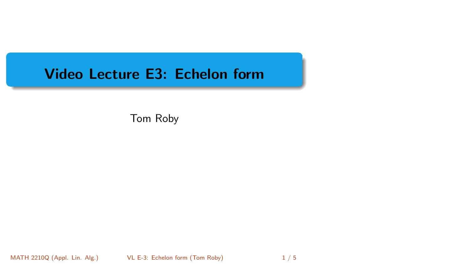# <span id="page-0-0"></span>Video Lecture E3: Echelon form

Tom Roby

MATH 2210Q (Appl. Lin. Alg.) [VL E-3: Echelon form](#page-4-0) (Tom Roby) 1/5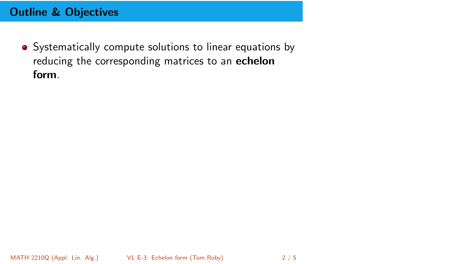# Outline & Objectives

• Systematically compute solutions to linear equations by reducing the corresponding matrices to an echelon form.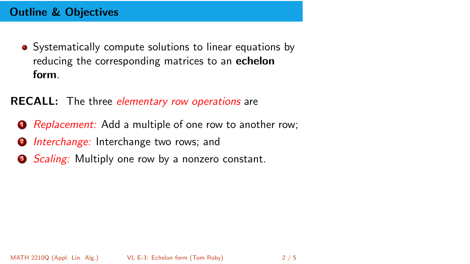# Outline & Objectives

• Systematically compute solutions to linear equations by reducing the corresponding matrices to an **echelon** form.

#### **RECALL:** The three *elementary row operations* are

- **1** Replacement: Add a multiple of one row to another row;
- **2** Interchange: Interchange two rows; and
- Scaling: Multiply one row by a nonzero constant.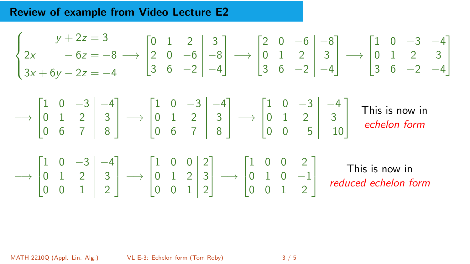## Review of example from Video Lecture E2

$$
\begin{cases}\ny+2z = 3 \\
2x - 6z = -8 \rightarrow \begin{bmatrix} 0 & 1 & 2 & 3 \\ 2 & 0 & -6 & -8 \\ 3 & 6 & -2 & -4 \end{bmatrix} \rightarrow \begin{bmatrix} 2 & 0 & -6 & -8 \\ 0 & 1 & 2 & 3 \\ 3 & 6 & -2 & -4 \end{bmatrix} \rightarrow \begin{bmatrix} 1 & 0 & -3 & -4 \\ 0 & 1 & 2 & 3 \\ 3 & 6 & -2 & -4 \end{bmatrix} \\
\rightarrow \begin{bmatrix} 1 & 0 & -3 & -4 \\ 0 & 1 & 2 & 3 \\ 0 & 6 & 7 & 8 \end{bmatrix} \rightarrow \begin{bmatrix} 1 & 0 & -3 & -4 \\ 0 & 1 & 2 & 3 \\ 0 & 6 & 7 & 8 \end{bmatrix} \rightarrow \begin{bmatrix} 1 & 0 & -3 & -4 \\ 0 & 1 & 2 & 3 \\ 0 & 6 & 7 & 8 \end{bmatrix} \rightarrow \begin{bmatrix} 1 & 0 & 0 & 3 & -4 \\ 0 & 1 & 2 & 3 & 3 \\ 0 & 0 & -5 & -10 & 6 \end{bmatrix}.
$$
 This is now in echelon form  

$$
\rightarrow \begin{bmatrix} 1 & 0 & -3 & -4 \\ 0 & 1 & 2 & 3 \\ 0 & 0 & 1 & 2 \end{bmatrix} \rightarrow \begin{bmatrix} 1 & 0 & 0 & 2 \\ 0 & 1 & 2 & 3 \\ 0 & 0 & 1 & 2 \end{bmatrix} \rightarrow \begin{bmatrix} 1 & 0 & 0 & 2 \\ 0 & 1 & 0 & -1 \\ 0 & 0 & 1 & 2 \end{bmatrix}.
$$
 This is now in reduced echelon form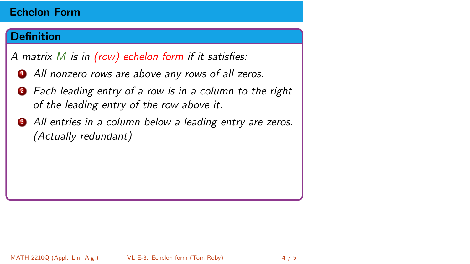#### <span id="page-4-0"></span>**Definition**

- **1** All nonzero rows are above any rows of all zeros.
- **2** Each leading entry of a row is in a column to the right of the leading entry of the row above it.
- **3** All entries in a column below a leading entry are zeros. (Actually redundant)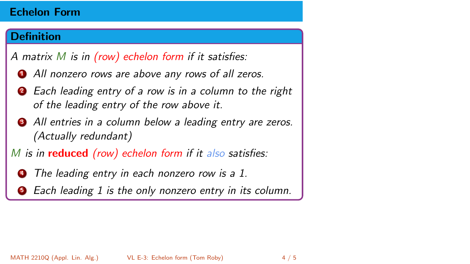## Definition

- **1** All nonzero rows are above any rows of all zeros.
- **2** Each leading entry of a row is in a column to the right of the leading entry of the row above it.
- **3** All entries in a column below a leading entry are zeros. (Actually redundant)
- M is in **reduced** (row) echelon form if it also satisfies:
	- The leading entry in each nonzero row is a 1.
	- Each leading 1 is the only nonzero entry in its column.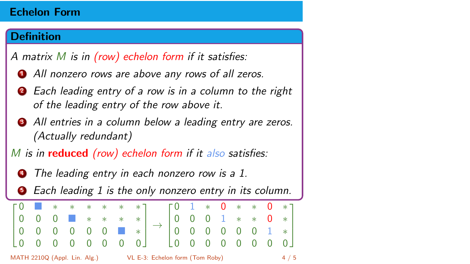## Definition

- **1** All nonzero rows are above any rows of all zeros.
- **2** Each leading entry of a row is in a column to the right of the leading entry of the row above it.
- All entries in a column below a leading entry are zeros. (Actually redundant)
- M is in **reduced** (row) echelon form if it also satisfies:
	- The leading entry in each nonzero row is a 1.
	- Each leading 1 is the only nonzero entry in its column.

| $\begin{bmatrix} 0 & 1 & * & * & * & * & * \end{bmatrix}$ $\begin{bmatrix} 0 & 1 & * & 0 & * & * & 0 & * \end{bmatrix}$ |  |  |  |  |  |  |  |                                                                                                                 |  |  |  |  |     |  |  |
|-------------------------------------------------------------------------------------------------------------------------|--|--|--|--|--|--|--|-----------------------------------------------------------------------------------------------------------------|--|--|--|--|-----|--|--|
|                                                                                                                         |  |  |  |  |  |  |  | $\begin{bmatrix} 0 & 0 & 0 & 0 & 0 & 0 & 0 \end{bmatrix}$ $\begin{bmatrix} 0 & 0 & 0 & 0 & 0 & 0 \end{bmatrix}$ |  |  |  |  |     |  |  |
|                                                                                                                         |  |  |  |  |  |  |  |                                                                                                                 |  |  |  |  |     |  |  |
|                                                                                                                         |  |  |  |  |  |  |  |                                                                                                                 |  |  |  |  |     |  |  |
| MATH 2210Q (Appl. Lin. Alg.)<br>VL E-3: Echelon form (Tom Roby)                                                         |  |  |  |  |  |  |  |                                                                                                                 |  |  |  |  | 4/5 |  |  |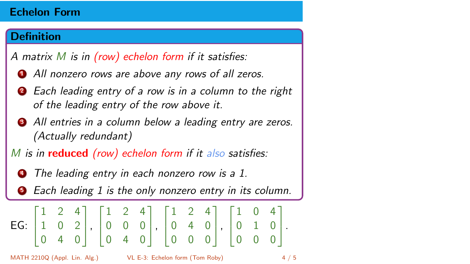## Definition

- **1** All nonzero rows are above any rows of all zeros.
- **2** Each leading entry of a row is in a column to the right of the leading entry of the row above it.
- All entries in a column below a leading entry are zeros. (Actually redundant)
- M is in **reduced** (row) echelon form if it also satisfies:
	- The leading entry in each nonzero row is a 1.
	- Each leading 1 is the only nonzero entry in its column.

$$
\text{EG: } \begin{bmatrix} 1 & 2 & 4 \\ 1 & 0 & 2 \\ 0 & 4 & 0 \end{bmatrix}, \begin{bmatrix} 1 & 2 & 4 \\ 0 & 0 & 0 \\ 0 & 4 & 0 \end{bmatrix}, \begin{bmatrix} 1 & 2 & 4 \\ 0 & 4 & 0 \\ 0 & 0 & 0 \end{bmatrix}, \begin{bmatrix} 1 & 0 & 4 \\ 0 & 1 & 0 \\ 0 & 0 & 0 \end{bmatrix}.
$$